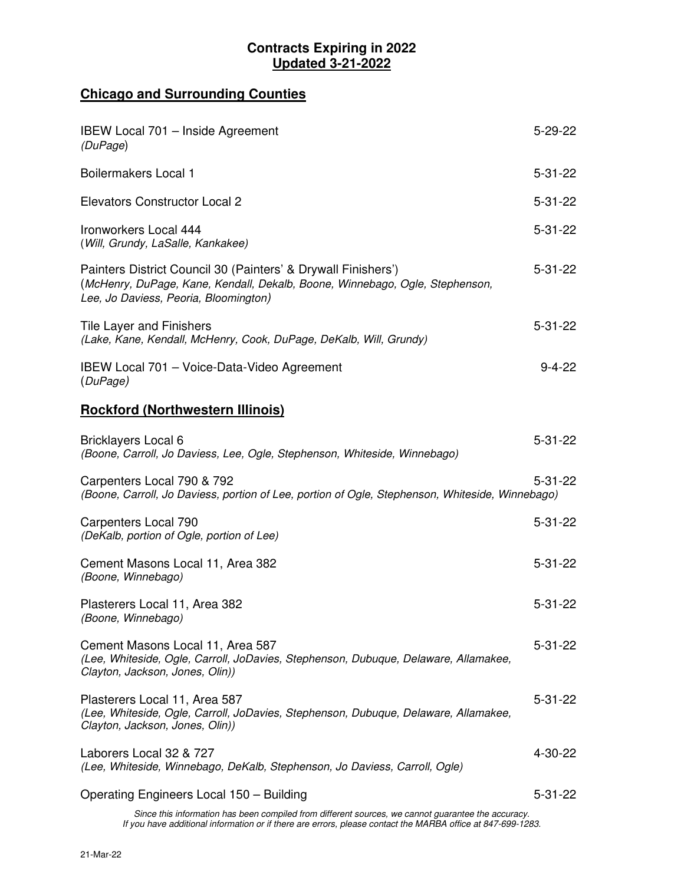## **Contracts Expiring in 2022 Updated 3-21-2022**

## **Chicago and Surrounding Counties**

| IBEW Local 701 - Inside Agreement<br>(DuPage)                                                                                                                                          | $5 - 29 - 22$ |
|----------------------------------------------------------------------------------------------------------------------------------------------------------------------------------------|---------------|
| <b>Boilermakers Local 1</b>                                                                                                                                                            | $5 - 31 - 22$ |
| <b>Elevators Constructor Local 2</b>                                                                                                                                                   | $5 - 31 - 22$ |
| Ironworkers Local 444<br>(Will, Grundy, LaSalle, Kankakee)                                                                                                                             | $5 - 31 - 22$ |
| Painters District Council 30 (Painters' & Drywall Finishers')<br>(McHenry, DuPage, Kane, Kendall, Dekalb, Boone, Winnebago, Ogle, Stephenson,<br>Lee, Jo Daviess, Peoria, Bloomington) | $5 - 31 - 22$ |
| Tile Layer and Finishers<br>(Lake, Kane, Kendall, McHenry, Cook, DuPage, DeKalb, Will, Grundy)                                                                                         | $5 - 31 - 22$ |
| IBEW Local 701 - Voice-Data-Video Agreement<br>(DuPage)                                                                                                                                | $9 - 4 - 22$  |
| <b>Rockford (Northwestern Illinois)</b>                                                                                                                                                |               |
| Bricklayers Local 6<br>(Boone, Carroll, Jo Daviess, Lee, Ogle, Stephenson, Whiteside, Winnebago)                                                                                       | $5 - 31 - 22$ |
| Carpenters Local 790 & 792<br>(Boone, Carroll, Jo Daviess, portion of Lee, portion of Ogle, Stephenson, Whiteside, Winnebago)                                                          | $5 - 31 - 22$ |
| Carpenters Local 790<br>(DeKalb, portion of Ogle, portion of Lee)                                                                                                                      | $5 - 31 - 22$ |
| Cement Masons Local 11, Area 382<br>(Boone, Winnebago)                                                                                                                                 | $5 - 31 - 22$ |
| Plasterers Local 11, Area 382<br>(Boone, Winnebago)                                                                                                                                    | $5 - 31 - 22$ |
| Cement Masons Local 11, Area 587<br>(Lee, Whiteside, Ogle, Carroll, JoDavies, Stephenson, Dubuque, Delaware, Allamakee,<br>Clayton, Jackson, Jones, Olin))                             | $5 - 31 - 22$ |
| Plasterers Local 11, Area 587<br>(Lee, Whiteside, Ogle, Carroll, JoDavies, Stephenson, Dubuque, Delaware, Allamakee,<br>Clayton, Jackson, Jones, Olin))                                | $5 - 31 - 22$ |
| Laborers Local 32 & 727<br>(Lee, Whiteside, Winnebago, DeKalb, Stephenson, Jo Daviess, Carroll, Ogle)                                                                                  | 4-30-22       |
| Operating Engineers Local 150 - Building                                                                                                                                               | $5 - 31 - 22$ |

Since this information has been compiled from different sources, we cannot guarantee the accuracy. If you have additional information or if there are errors, please contact the MARBA office at 847-699-1283.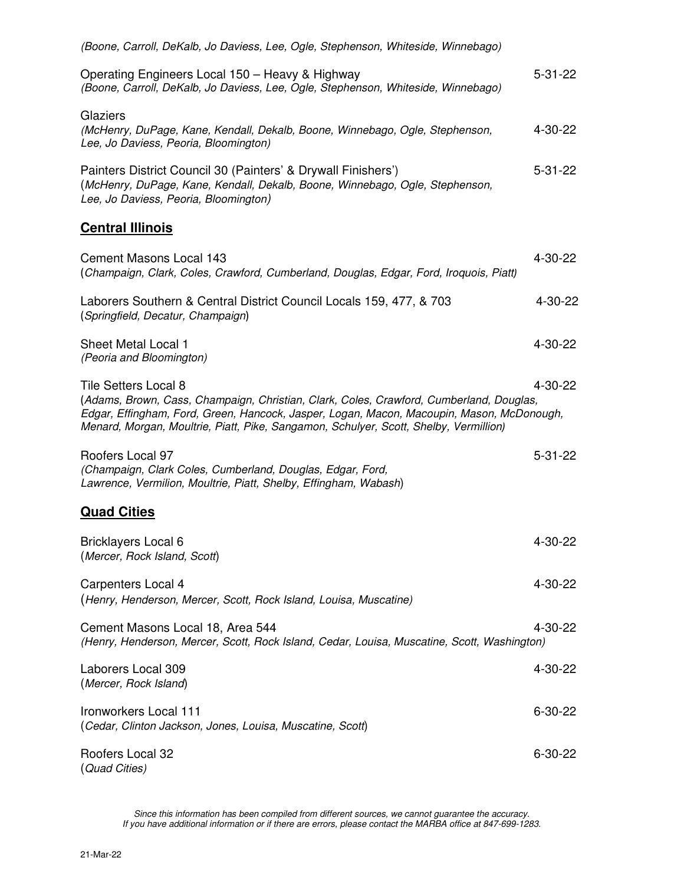| (Boone, Carroll, DeKalb, Jo Daviess, Lee, Ogle, Stephenson, Whiteside, Winnebago)                                                                                                                                                                                                                            |               |
|--------------------------------------------------------------------------------------------------------------------------------------------------------------------------------------------------------------------------------------------------------------------------------------------------------------|---------------|
| Operating Engineers Local 150 – Heavy & Highway<br>(Boone, Carroll, DeKalb, Jo Daviess, Lee, Ogle, Stephenson, Whiteside, Winnebago)                                                                                                                                                                         | $5 - 31 - 22$ |
| Glaziers<br>(McHenry, DuPage, Kane, Kendall, Dekalb, Boone, Winnebago, Ogle, Stephenson,<br>Lee, Jo Daviess, Peoria, Bloomington)                                                                                                                                                                            | 4-30-22       |
| Painters District Council 30 (Painters' & Drywall Finishers')<br>(McHenry, DuPage, Kane, Kendall, Dekalb, Boone, Winnebago, Ogle, Stephenson,<br>Lee, Jo Daviess, Peoria, Bloomington)                                                                                                                       | $5 - 31 - 22$ |
| <b>Central Illinois</b>                                                                                                                                                                                                                                                                                      |               |
| <b>Cement Masons Local 143</b><br>(Champaign, Clark, Coles, Crawford, Cumberland, Douglas, Edgar, Ford, Iroquois, Piatt)                                                                                                                                                                                     | 4-30-22       |
| Laborers Southern & Central District Council Locals 159, 477, & 703<br>(Springfield, Decatur, Champaign)                                                                                                                                                                                                     | 4-30-22       |
| <b>Sheet Metal Local 1</b><br>(Peoria and Bloomington)                                                                                                                                                                                                                                                       | 4-30-22       |
| <b>Tile Setters Local 8</b><br>(Adams, Brown, Cass, Champaign, Christian, Clark, Coles, Crawford, Cumberland, Douglas,<br>Edgar, Effingham, Ford, Green, Hancock, Jasper, Logan, Macon, Macoupin, Mason, McDonough,<br>Menard, Morgan, Moultrie, Piatt, Pike, Sangamon, Schulyer, Scott, Shelby, Vermillion) | 4-30-22       |
| Roofers Local 97<br>(Champaign, Clark Coles, Cumberland, Douglas, Edgar, Ford,<br>Lawrence, Vermilion, Moultrie, Piatt, Shelby, Effingham, Wabash)                                                                                                                                                           | $5 - 31 - 22$ |
| <b>Quad Cities</b>                                                                                                                                                                                                                                                                                           |               |
| <b>Bricklayers Local 6</b><br>(Mercer, Rock Island, Scott)                                                                                                                                                                                                                                                   | 4-30-22       |
| Carpenters Local 4<br>(Henry, Henderson, Mercer, Scott, Rock Island, Louisa, Muscatine)                                                                                                                                                                                                                      | 4-30-22       |
| Cement Masons Local 18, Area 544<br>(Henry, Henderson, Mercer, Scott, Rock Island, Cedar, Louisa, Muscatine, Scott, Washington)                                                                                                                                                                              | 4-30-22       |
| Laborers Local 309<br>(Mercer, Rock Island)                                                                                                                                                                                                                                                                  | $4 - 30 - 22$ |
| Ironworkers Local 111<br>(Cedar, Clinton Jackson, Jones, Louisa, Muscatine, Scott)                                                                                                                                                                                                                           | $6 - 30 - 22$ |
| Roofers Local 32<br>(Quad Cities)                                                                                                                                                                                                                                                                            | $6 - 30 - 22$ |

Since this information has been compiled from different sources, we cannot guarantee the accuracy. If you have additional information or if there are errors, please contact the MARBA office at 847-699-1283.